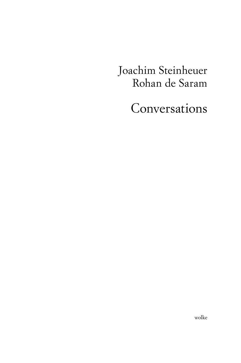Joachim Steinheuer Rohan de Saram

Conversations

wolke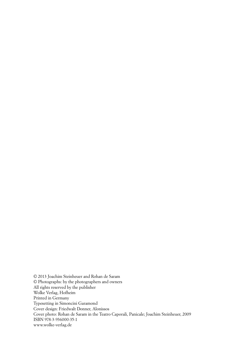© 2013 Joachim Steinheuer and Rohan de Saram © Photographs: by the photographers and owners All rights reserved by the publisher Wolke Verlag, Hofheim Printed in Germany Typesetting in Simoncini Garamond Cover design: Friedwalt Donner, Alonissos Cover photo: Rohan de Saram in the Teatro Caporali, Panicale; Joachim Steinheuer, 2009 ISBN 978-3-936000-35-1 www.wolke-verlag.de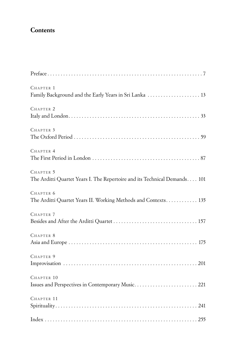## **Contents**

| CHAPTER 1<br>Family Background and the Early Years in Sri Lanka  13                    |
|----------------------------------------------------------------------------------------|
| CHAPTER <sub>2</sub>                                                                   |
| CHAPTER 3                                                                              |
| CHAPTER 4                                                                              |
| CHAPTER 5<br>The Arditti Quartet Years I. The Repertoire and its Technical Demands 101 |
| CHAPTER 6<br>The Arditti Quartet Years II. Working Methods and Contexts 135            |
| CHAPTER <sub>7</sub>                                                                   |
| CHAPTER 8                                                                              |
| CHAPTER 9                                                                              |
| CHAPTER 10                                                                             |
| CHAPTER 11                                                                             |
|                                                                                        |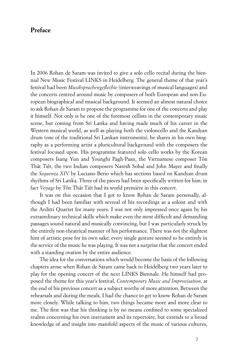## **Preface**

In 2006 Rohan de Saram was invited to give a solo cello recital during the biennial New Music Festival LINKS in Heidelberg. The general theme of that year's festival had been *Musiksprachengeflechte* (interweavings of musical languages) and the concerts centred around music by composers of both European and non-European biographical and musical background. It seemed an almost natural choice to ask Rohan de Saram to propose the programme for one of the concerts and play it himself. Not only is he one of the foremost cellists in the contemporary music scene, but coming from Sri Lanka and having made much of his career in the Western musical world, as well as playing both the violoncello and the Kandyan drum (one of the traditional Sri Lankan instruments), he shares in his own biography as a performing artist a pluricultural background with the composers the festival focused upon. His programme featured solo cello works by the Korean composers Isang Yun and Younghi Pagh-Paan, the Vietnamese composer Tôn Thât Tiêt, the two Indian composers Naresh Sohal and John Mayer and finally the *Sequenza XIV* by Luciano Berio which has sections based on Kandyan drum rhythms of Sri Lanka. Three of the pieces had been specifically written for him; in fact *Voyage* by Tôn Thât Tiêt had its world première in this concert.

It was on this occasion that I got to know Rohan de Saram personally, although I had been familiar with several of his recordings as a soloist and with the Arditti Quartet for many years. I was not only impressed once again by his extraordinary technical skills which make even the most difficult and demanding passages sound natural and musically convincing, but I was particularly struck by the entirely non-theatrical manner of his performance. There was not the slightest hint of artistic pose for its own sake; every single gesture seemed to be entirely in the service of the music he was playing. It was not a surprise that the concert ended with a standing ovation by the entire audience.

The idea for the conversations which would become the basis of the following chapters arose when Rohan de Saram came back to Heidelberg two years later to play for the opening concert of the next LINKS Biennale. He himself had proposed the theme for this year's festival, *Contemporary Music and Improvisation*, at the end of his previous concert as a subject worthy of more attention. Between the rehearsals and during the meals, I had the chance to get to know Rohan de Saram more closely. While talking to him, two things became more and more clear to me. The first was that his thinking is by no means confined to some specialized realms concerning his own instrument and its repertoire, but extends to a broad knowledge of and insight into manifold aspects of the music of various cultures,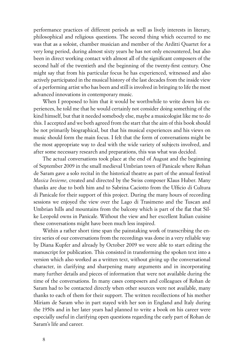performance practices of different periods as well as lively interests in literary, philosophical and religious questions. The second thing which occurred to me was that as a soloist, chamber musician and member of the Arditti Quartet for a very long period, during almost sixty years he has not only encountered, but also been in direct working contact with almost all of the significant composers of the second half of the twentieth and the beginning of the twenty-first century. One might say that from his particular focus he has experienced, witnessed and also actively participated in the musical history of the last decades from the inside view of a performing artist who has been and still is involved in bringing to life the most advanced innovations in contemporary music.

When I proposed to him that it would be worthwhile to write down his experiences, he told me that he would certainly not consider doing something of the kind himself, but that it needed somebody else, maybe a musicologist like me to do this. I accepted and we both agreed from the start that the aim of this book should be not primarily biographical, but that his musical experiences and his views on music should form the main focus. I felt that the form of conversations might be the most appropriate way to deal with the wide variety of subjects involved, and after some necessary research and preparations, this was what was decided.

The actual conversations took place at the end of August and the beginning of September 2009 in the small medieval Umbrian town of Panicale where Rohan de Saram gave a solo recital in the historical theatre as part of the annual festival *Musica Insieme*, created and directed by the Swiss composer Klaus Huber. Many thanks are due to both him and to Sabrina Caciotto from the Ufficio di Cultura di Panicale for their support of this project. During the many hours of recording sessions we enjoyed the view over the Lago di Trasimeno and the Tuscan and Umbrian hills and mountains from the balcony which is part of the flat that Silke Leopold owns in Panicale. Without the view and her excellent Italian cuisine these conversations might have been much less inspired.

Within a rather short time span the painstaking work of transcribing the entire series of our conversations from the recordings was done in a very reliable way by Diana Kupfer and already by October 2009 we were able to start editing the manuscript for publication. This consisted in transforming the spoken text into a version which also worked as a written text, without giving up the conversational character, in clarifying and sharpening many arguments and in incorporating many further details and pieces of information that were not available during the time of the conversations. In many cases composers and colleagues of Rohan de Saram had to be contacted directly when other sources were not available, many thanks to each of them for their support. The written recollections of his mother Miriam de Saram who in part stayed with her son in England and Italy during the 1950s and in her later years had planned to write a book on his career were especially useful in clarifying open questions regarding the early part of Rohan de Saram's life and career.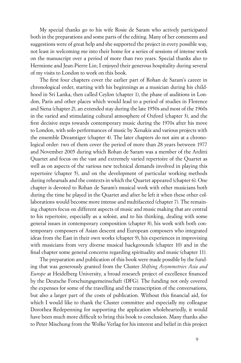My special thanks go to his wife Rosie de Saram who actively participated both in the preparations and some parts of the editing. Many of her comments and suggestions were of great help and she supported the project in every possible way, not least in welcoming me into their home for a series of sessions of intense work on the manuscript over a period of more than two years. Special thanks also to Hermione and Jean-Pierre Lin; I enjoyed their generous hospitality during several of my visits to London to work on this book.

The first four chapters cover the earlier part of Rohan de Saram's career in chronological order, starting with his beginnings as a musician during his childhood in Sri Lanka, then called Ceylon (chapter 1), the phase of auditions in London, Paris and other places which would lead to a period of studies in Florence and Siena (chapter 2), an extended stay during the late 1950s and most of the 1960s in the varied and stimulating cultural atmosphere of Oxford (chapter 3), and the first decisive steps towards contemporary music during the 1970s after his move to London, with solo performances of music by Xenakis and various projects with the ensemble Dreamtiger (chapter 4). The later chapters do not aim at a chronological order: two of them cover the period of more than 28 years between 1977 and November 2005 during which Rohan de Saram was a member of the Arditti Quartet and focus on the vast and extremely varied repertoire of the Quartet as well as on aspects of the various new technical demands involved in playing this repertoire (chapter 5), and on the development of particular working methods during rehearsals and the contexts in which the Quartet appeared (chapter 6). One chapter is devoted to Rohan de Saram's musical work with other musicians both during the time he played in the Quartet and after he left it when these other collaborations would become more intense and multifaceted (chapter 7). The remaining chapters focus on different aspects of music and music making that are central to his repertoire, especially as a soloist, and to his thinking, dealing with some general issues in contemporary composition (chapter 8), his work with both contemporary composers of Asian descent and European composers who integrated ideas from the East in their own works (chapter 9), his experiences in improvising with musicians from very diverse musical backgrounds (chapter 10) and in the final chapter some general concerns regarding spirituality and music (chapter 11).

The preparation and publication of this book were made possible by the funding that was generously granted from the Cluster *Shifting Asymmetries Asia and Europe* at Heidelberg University, a broad research project of excellence financed by the Deutsche Forschungsgemeinschaft (DFG). The funding not only covered the expenses for some of the travelling and the transcription of the conversations, but also a larger part of the costs of publication. Without this financial aid, for which I would like to thank the Cluster committee and especially my colleague Dorothea Redepenning for supporting the application wholeheartedly, it would have been much more difficult to bring this book to conclusion. Many thanks also to Peter Mischung from the Wolke Verlag for his interest and belief in this project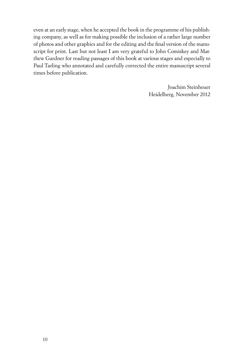even at an early stage, when he accepted the book in the programme of his publishing company, as well as for making possible the inclusion of a rather large number of photos and other graphics and for the editing and the final version of the manuscript for print. Last but not least I am very grateful to John Comiskey and Matthew Gardner for reading passages of this book at various stages and especially to Paul Tarling who annotated and carefully corrected the entire manuscript several times before publication.

> Joachim Steinheuer Heidelberg, November 2012